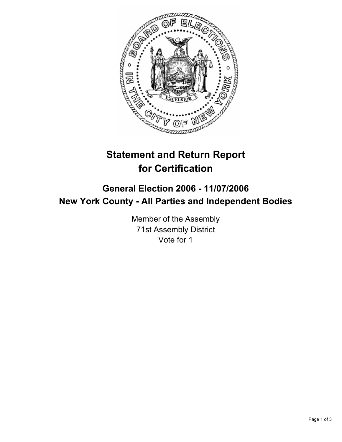

# **Statement and Return Report for Certification**

## **General Election 2006 - 11/07/2006 New York County - All Parties and Independent Bodies**

Member of the Assembly 71st Assembly District Vote for 1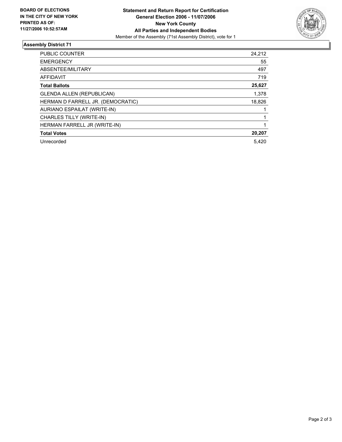

### **Assembly District 71**

| <b>PUBLIC COUNTER</b>             | 24,212 |
|-----------------------------------|--------|
| <b>EMERGENCY</b>                  | 55     |
| ABSENTEE/MILITARY                 | 497    |
| <b>AFFIDAVIT</b>                  | 719    |
| <b>Total Ballots</b>              | 25,627 |
| <b>GLENDA ALLEN (REPUBLICAN)</b>  | 1,378  |
| HERMAN D FARRELL JR. (DEMOCRATIC) | 18,826 |
| AURIANO ESPAILAT (WRITE-IN)       |        |
| CHARLES TILLY (WRITE-IN)          |        |
| HERMAN FARRELL JR (WRITE-IN)      |        |
| <b>Total Votes</b>                | 20,207 |
| Unrecorded                        | 5,420  |